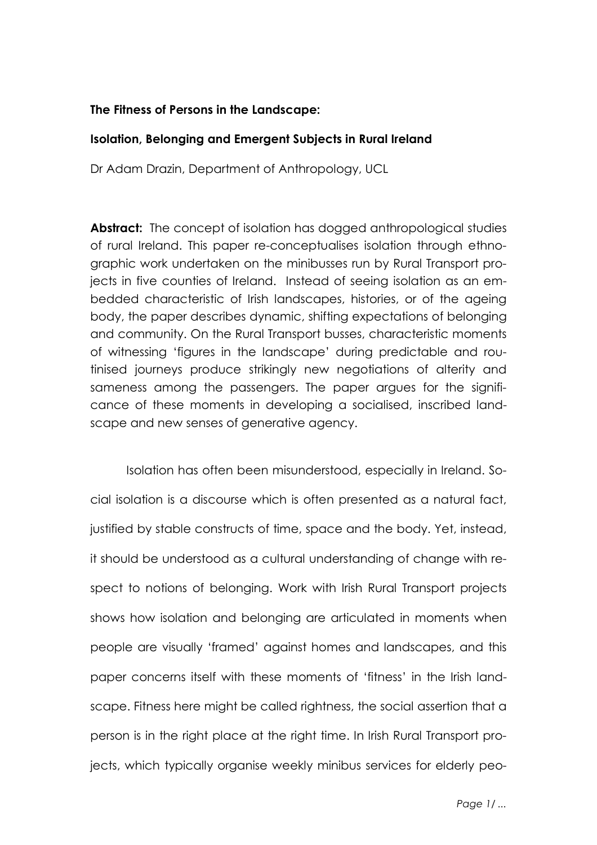# **The Fitness of Persons in the Landscape:**

# **Isolation, Belonging and Emergent Subjects in Rural Ireland**

Dr Adam Drazin, Department of Anthropology, UCL

**Abstract:** The concept of isolation has dogged anthropological studies of rural Ireland. This paper re-conceptualises isolation through ethnographic work undertaken on the minibusses run by Rural Transport projects in five counties of Ireland. Instead of seeing isolation as an embedded characteristic of Irish landscapes, histories, or of the ageing body, the paper describes dynamic, shifting expectations of belonging and community. On the Rural Transport busses, characteristic moments of witnessing 'figures in the landscape' during predictable and routinised journeys produce strikingly new negotiations of alterity and sameness among the passengers. The paper argues for the significance of these moments in developing a socialised, inscribed landscape and new senses of generative agency.

Isolation has often been misunderstood, especially in Ireland. Social isolation is a discourse which is often presented as a natural fact, justified by stable constructs of time, space and the body. Yet, instead, it should be understood as a cultural understanding of change with respect to notions of belonging. Work with Irish Rural Transport projects shows how isolation and belonging are articulated in moments when people are visually 'framed' against homes and landscapes, and this paper concerns itself with these moments of 'fitness' in the Irish landscape. Fitness here might be called rightness, the social assertion that a person is in the right place at the right time. In Irish Rural Transport projects, which typically organise weekly minibus services for elderly peo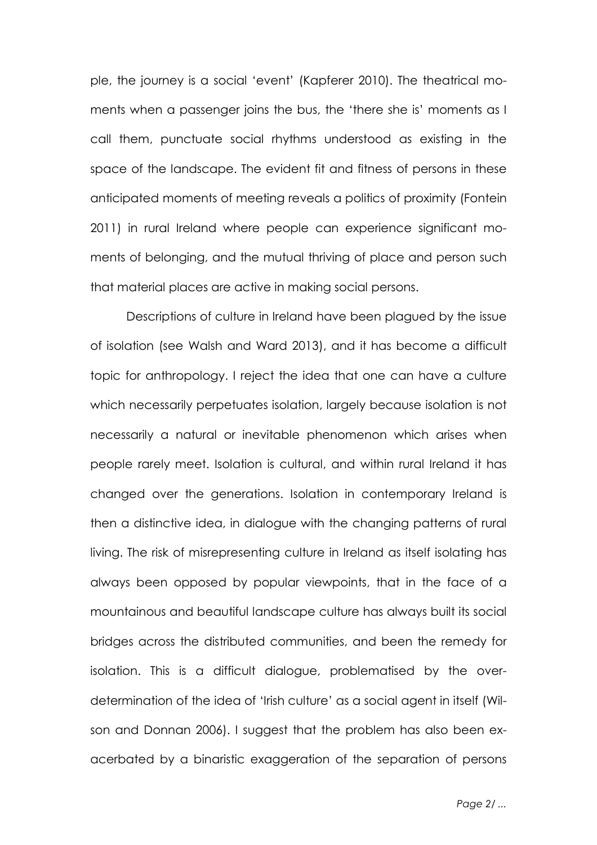ple, the journey is a social 'event' (Kapferer 2010). The theatrical moments when a passenger joins the bus, the 'there she is' moments as I call them, punctuate social rhythms understood as existing in the space of the landscape. The evident fit and fitness of persons in these anticipated moments of meeting reveals a politics of proximity (Fontein 2011) in rural Ireland where people can experience significant moments of belonging, and the mutual thriving of place and person such that material places are active in making social persons.

Descriptions of culture in Ireland have been plagued by the issue of isolation (see Walsh and Ward 2013), and it has become a difficult topic for anthropology. I reject the idea that one can have a culture which necessarily perpetuates isolation, largely because isolation is not necessarily a natural or inevitable phenomenon which arises when people rarely meet. Isolation is cultural, and within rural Ireland it has changed over the generations. Isolation in contemporary Ireland is then a distinctive idea, in dialogue with the changing patterns of rural living. The risk of misrepresenting culture in Ireland as itself isolating has always been opposed by popular viewpoints, that in the face of a mountainous and beautiful landscape culture has always built its social bridges across the distributed communities, and been the remedy for isolation. This is a difficult dialogue, problematised by the overdetermination of the idea of 'Irish culture' as a social agent in itself (Wilson and Donnan 2006). I suggest that the problem has also been exacerbated by a binaristic exaggeration of the separation of persons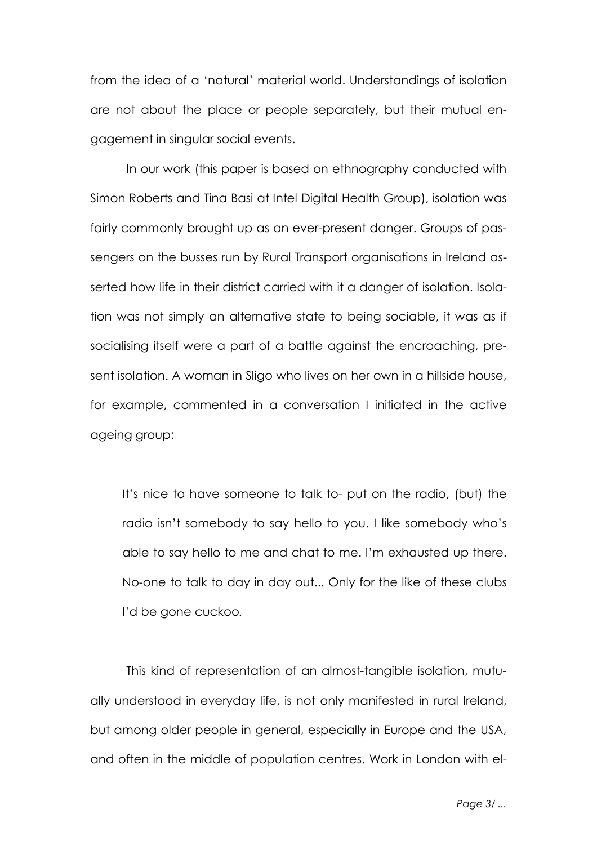from the idea of a 'natural' material world. Understandings of isolation are not about the place or people separately, but their mutual engagement in singular social events.

In our work (this paper is based on ethnography conducted with Simon Roberts and Tina Basi at Intel Digital Health Group), isolation was fairly commonly brought up as an ever-present danger. Groups of passengers on the busses run by Rural Transport organisations in Ireland asserted how life in their district carried with it a danger of isolation. Isolation was not simply an alternative state to being sociable, it was as if socialising itself were a part of a battle against the encroaching, present isolation. A woman in Sligo who lives on her own in a hillside house, for example, commented in a conversation I initiated in the active ageing group:

It's nice to have someone to talk to- put on the radio, (but) the radio isn't somebody to say hello to you. I like somebody who's able to say hello to me and chat to me. I'm exhausted up there. No-one to talk to day in day out... Only for the like of these clubs I'd be gone cuckoo*.*

This kind of representation of an almost-tangible isolation, mutually understood in everyday life, is not only manifested in rural Ireland, but among older people in general, especially in Europe and the USA, and often in the middle of population centres. Work in London with el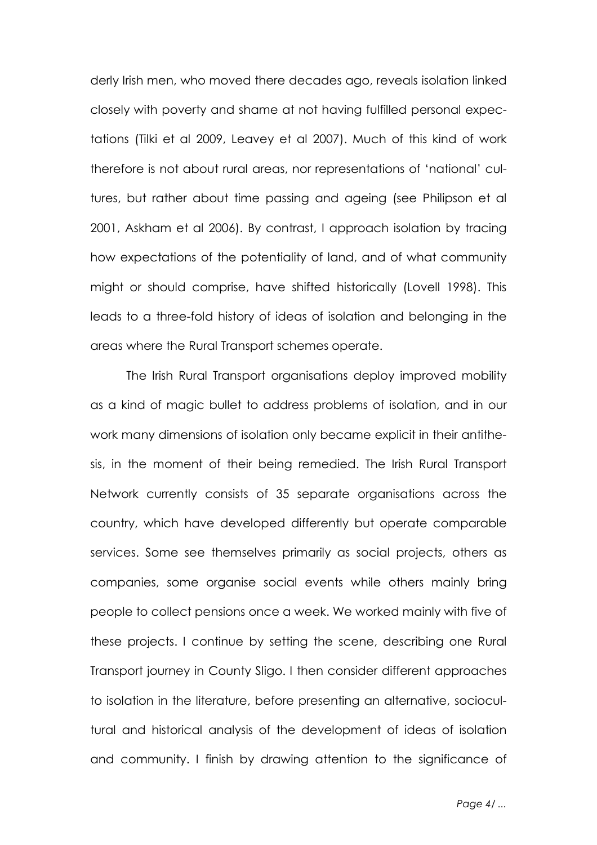derly Irish men, who moved there decades ago, reveals isolation linked closely with poverty and shame at not having fulfilled personal expectations (Tilki et al 2009, Leavey et al 2007). Much of this kind of work therefore is not about rural areas, nor representations of 'national' cultures, but rather about time passing and ageing (see Philipson et al 2001, Askham et al 2006). By contrast, I approach isolation by tracing how expectations of the potentiality of land, and of what community might or should comprise, have shifted historically (Lovell 1998). This leads to a three-fold history of ideas of isolation and belonging in the areas where the Rural Transport schemes operate.

The Irish Rural Transport organisations deploy improved mobility as a kind of magic bullet to address problems of isolation, and in our work many dimensions of isolation only became explicit in their antithesis, in the moment of their being remedied. The Irish Rural Transport Network currently consists of 35 separate organisations across the country, which have developed differently but operate comparable services. Some see themselves primarily as social projects, others as companies, some organise social events while others mainly bring people to collect pensions once a week. We worked mainly with five of these projects. I continue by setting the scene, describing one Rural Transport journey in County Sligo. I then consider different approaches to isolation in the literature, before presenting an alternative, sociocultural and historical analysis of the development of ideas of isolation and community. I finish by drawing attention to the significance of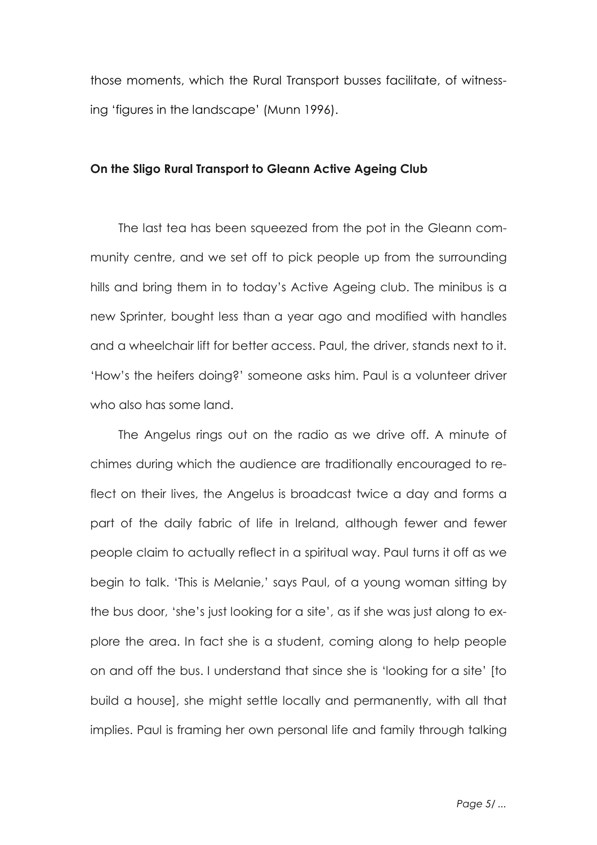those moments, which the Rural Transport busses facilitate, of witnessing 'figures in the landscape' (Munn 1996).

### **On the Sligo Rural Transport to Gleann Active Ageing Club**

The last tea has been squeezed from the pot in the Gleann community centre, and we set off to pick people up from the surrounding hills and bring them in to today's Active Ageing club. The minibus is a new Sprinter, bought less than a year ago and modified with handles and a wheelchair lift for better access. Paul, the driver, stands next to it. 'How's the heifers doing?' someone asks him. Paul is a volunteer driver who also has some land.

The Angelus rings out on the radio as we drive off. A minute of chimes during which the audience are traditionally encouraged to reflect on their lives, the Angelus is broadcast twice a day and forms a part of the daily fabric of life in Ireland, although fewer and fewer people claim to actually reflect in a spiritual way. Paul turns it off as we begin to talk. 'This is Melanie,' says Paul, of a young woman sitting by the bus door, 'she's just looking for a site', as if she was just along to explore the area. In fact she is a student, coming along to help people on and off the bus. I understand that since she is 'looking for a site' [to build a house], she might settle locally and permanently, with all that implies. Paul is framing her own personal life and family through talking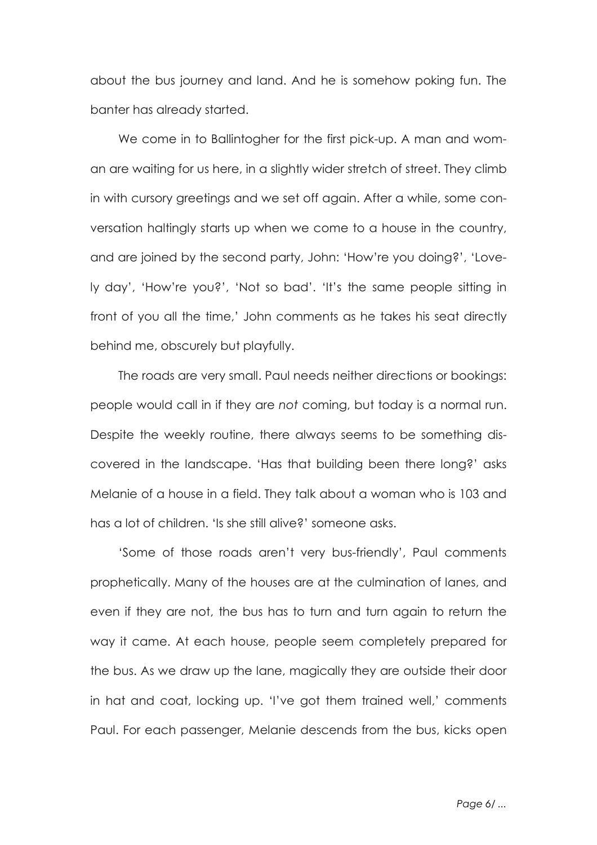about the bus journey and land. And he is somehow poking fun. The banter has already started.

We come in to Ballintogher for the first pick-up. A man and woman are waiting for us here, in a slightly wider stretch of street. They climb in with cursory greetings and we set off again. After a while, some conversation haltingly starts up when we come to a house in the country, and are joined by the second party, John: 'How're you doing?', 'Lovely day', 'How're you?', 'Not so bad'. 'It's the same people sitting in front of you all the time,' John comments as he takes his seat directly behind me, obscurely but playfully.

The roads are very small. Paul needs neither directions or bookings: people would call in if they are *not* coming, but today is a normal run. Despite the weekly routine, there always seems to be something discovered in the landscape. 'Has that building been there long?' asks Melanie of a house in a field. They talk about a woman who is 103 and has a lot of children. 'Is she still alive?' someone asks.

'Some of those roads aren't very bus-friendly', Paul comments prophetically. Many of the houses are at the culmination of lanes, and even if they are not, the bus has to turn and turn again to return the way it came. At each house, people seem completely prepared for the bus. As we draw up the lane, magically they are outside their door in hat and coat, locking up. 'I've got them trained well,' comments Paul. For each passenger, Melanie descends from the bus, kicks open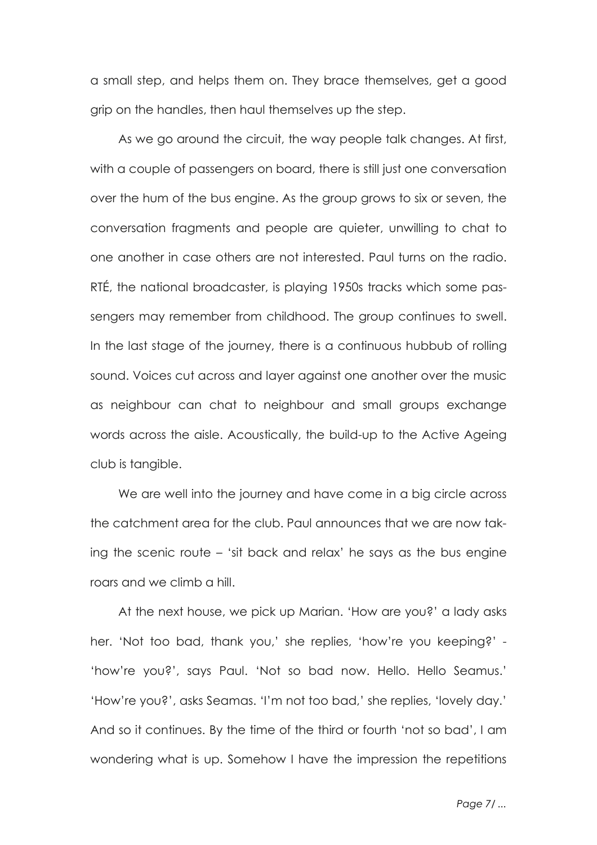a small step, and helps them on. They brace themselves, get a good grip on the handles, then haul themselves up the step.

As we go around the circuit, the way people talk changes. At first, with a couple of passengers on board, there is still just one conversation over the hum of the bus engine. As the group grows to six or seven, the conversation fragments and people are quieter, unwilling to chat to one another in case others are not interested. Paul turns on the radio. RTÉ, the national broadcaster, is playing 1950s tracks which some passengers may remember from childhood. The group continues to swell. In the last stage of the journey, there is a continuous hubbub of rolling sound. Voices cut across and layer against one another over the music as neighbour can chat to neighbour and small groups exchange words across the aisle. Acoustically, the build-up to the Active Ageing club is tangible.

We are well into the journey and have come in a big circle across the catchment area for the club. Paul announces that we are now taking the scenic route – 'sit back and relax' he says as the bus engine roars and we climb a hill.

At the next house, we pick up Marian. 'How are you?' a lady asks her. 'Not too bad, thank you,' she replies, 'how're you keeping?' - 'how're you?', says Paul. 'Not so bad now. Hello. Hello Seamus.' 'How're you?', asks Seamas. 'I'm not too bad,' she replies, 'lovely day.' And so it continues. By the time of the third or fourth 'not so bad', I am wondering what is up. Somehow I have the impression the repetitions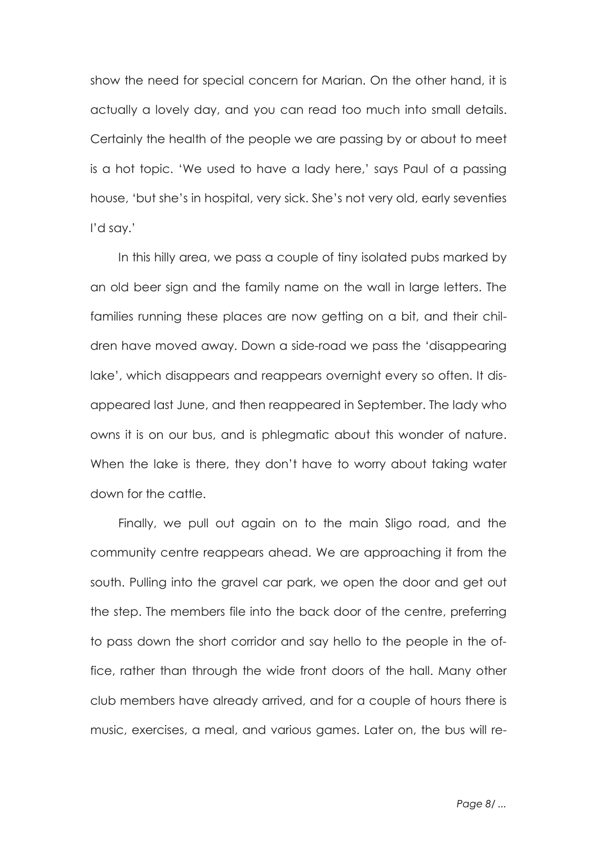show the need for special concern for Marian. On the other hand, it is actually a lovely day, and you can read too much into small details. Certainly the health of the people we are passing by or about to meet is a hot topic. 'We used to have a lady here,' says Paul of a passing house, 'but she's in hospital, very sick. She's not very old, early seventies I'd say.'

In this hilly area, we pass a couple of tiny isolated pubs marked by an old beer sign and the family name on the wall in large letters. The families running these places are now getting on a bit, and their children have moved away. Down a side-road we pass the 'disappearing lake', which disappears and reappears overnight every so often. It disappeared last June, and then reappeared in September. The lady who owns it is on our bus, and is phlegmatic about this wonder of nature. When the lake is there, they don't have to worry about taking water down for the cattle.

Finally, we pull out again on to the main Sligo road, and the community centre reappears ahead. We are approaching it from the south. Pulling into the gravel car park, we open the door and get out the step. The members file into the back door of the centre, preferring to pass down the short corridor and say hello to the people in the office, rather than through the wide front doors of the hall. Many other club members have already arrived, and for a couple of hours there is music, exercises, a meal, and various games. Later on, the bus will re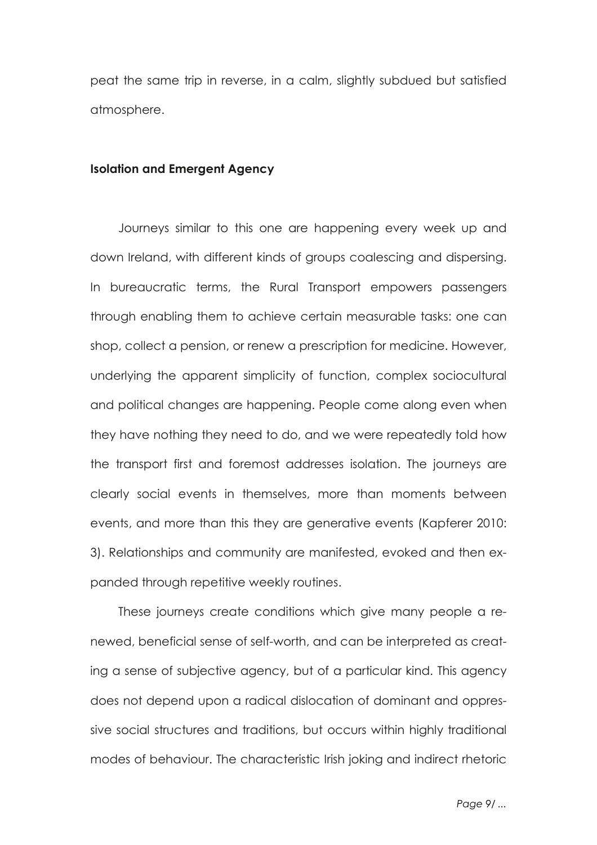peat the same trip in reverse, in a calm, slightly subdued but satisfied atmosphere.

#### **Isolation and Emergent Agency**

Journeys similar to this one are happening every week up and down Ireland, with different kinds of groups coalescing and dispersing. In bureaucratic terms, the Rural Transport empowers passengers through enabling them to achieve certain measurable tasks: one can shop, collect a pension, or renew a prescription for medicine. However, underlying the apparent simplicity of function, complex sociocultural and political changes are happening. People come along even when they have nothing they need to do, and we were repeatedly told how the transport first and foremost addresses isolation. The journeys are clearly social events in themselves, more than moments between events, and more than this they are generative events (Kapferer 2010: 3). Relationships and community are manifested, evoked and then expanded through repetitive weekly routines.

These journeys create conditions which give many people a renewed, beneficial sense of self-worth, and can be interpreted as creating a sense of subjective agency, but of a particular kind. This agency does not depend upon a radical dislocation of dominant and oppressive social structures and traditions, but occurs within highly traditional modes of behaviour. The characteristic Irish joking and indirect rhetoric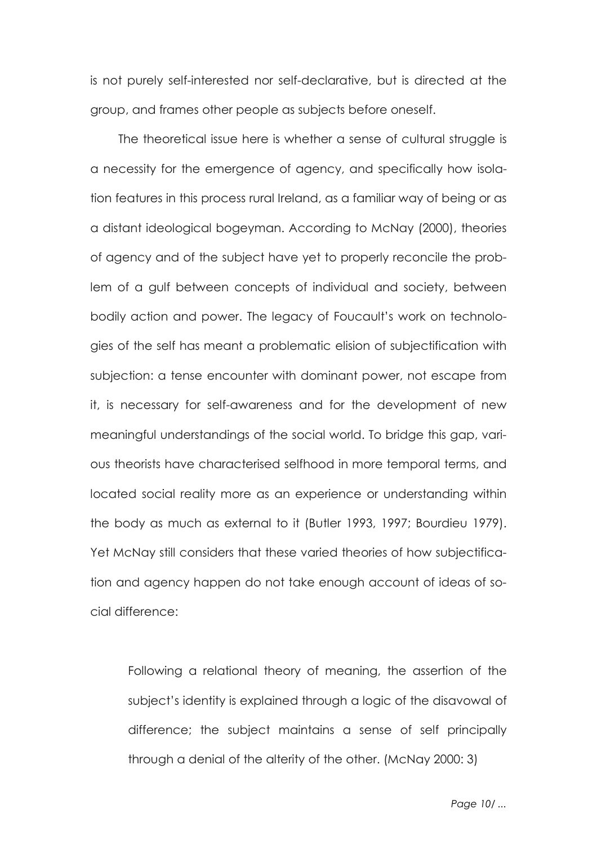is not purely self-interested nor self-declarative, but is directed at the group, and frames other people as subjects before oneself.

The theoretical issue here is whether a sense of cultural struggle is a necessity for the emergence of agency, and specifically how isolation features in this process rural Ireland, as a familiar way of being or as a distant ideological bogeyman. According to McNay (2000), theories of agency and of the subject have yet to properly reconcile the problem of a gulf between concepts of individual and society, between bodily action and power. The legacy of Foucault's work on technologies of the self has meant a problematic elision of subjectification with subjection: a tense encounter with dominant power, not escape from it, is necessary for self-awareness and for the development of new meaningful understandings of the social world. To bridge this gap, various theorists have characterised selfhood in more temporal terms, and located social reality more as an experience or understanding within the body as much as external to it (Butler 1993, 1997; Bourdieu 1979). Yet McNay still considers that these varied theories of how subjectification and agency happen do not take enough account of ideas of social difference:

Following a relational theory of meaning, the assertion of the subject's identity is explained through a logic of the disavowal of difference; the subject maintains a sense of self principally through a denial of the alterity of the other. (McNay 2000: 3)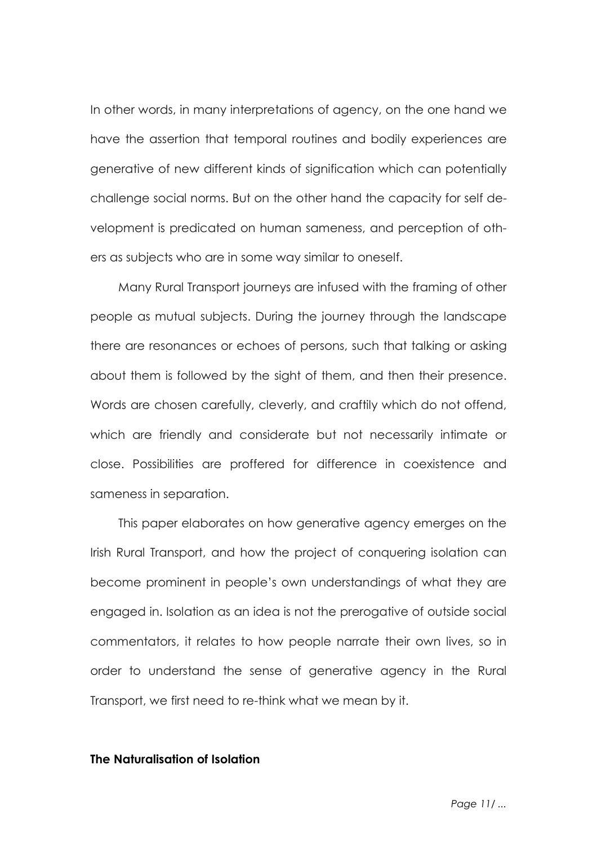In other words, in many interpretations of agency, on the one hand we have the assertion that temporal routines and bodily experiences are generative of new different kinds of signification which can potentially challenge social norms. But on the other hand the capacity for self development is predicated on human sameness, and perception of others as subjects who are in some way similar to oneself.

Many Rural Transport journeys are infused with the framing of other people as mutual subjects. During the journey through the landscape there are resonances or echoes of persons, such that talking or asking about them is followed by the sight of them, and then their presence. Words are chosen carefully, cleverly, and craftily which do not offend, which are friendly and considerate but not necessarily intimate or close. Possibilities are proffered for difference in coexistence and sameness in separation.

This paper elaborates on how generative agency emerges on the Irish Rural Transport, and how the project of conquering isolation can become prominent in people's own understandings of what they are engaged in. Isolation as an idea is not the prerogative of outside social commentators, it relates to how people narrate their own lives, so in order to understand the sense of generative agency in the Rural Transport, we first need to re-think what we mean by it.

# **The Naturalisation of Isolation**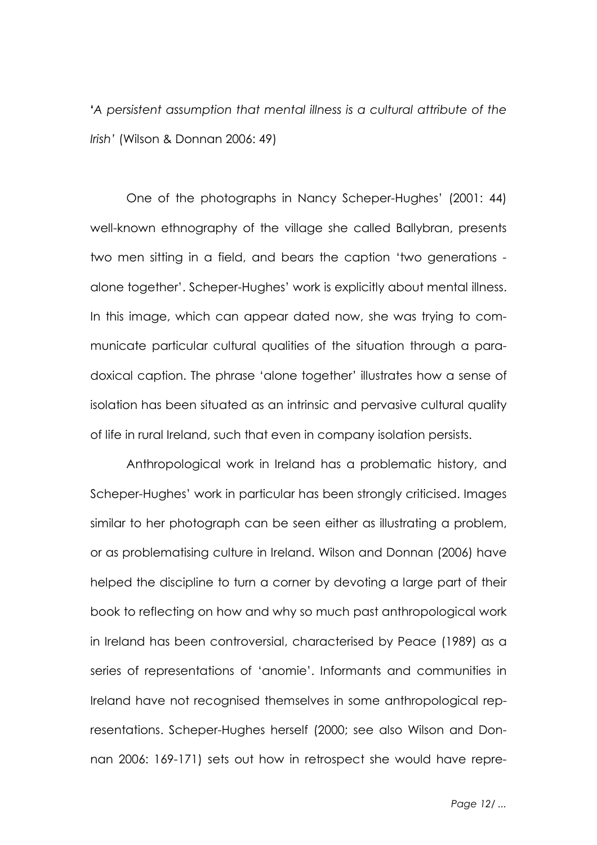**'***A persistent assumption that mental illness is a cultural attribute of the Irish'* (Wilson & Donnan 2006: 49)

One of the photographs in Nancy Scheper-Hughes' (2001: 44) well-known ethnography of the village she called Ballybran, presents two men sitting in a field, and bears the caption 'two generations alone together'. Scheper-Hughes' work is explicitly about mental illness. In this image, which can appear dated now, she was trying to communicate particular cultural qualities of the situation through a paradoxical caption. The phrase 'alone together' illustrates how a sense of isolation has been situated as an intrinsic and pervasive cultural quality of life in rural Ireland, such that even in company isolation persists.

Anthropological work in Ireland has a problematic history, and Scheper-Hughes' work in particular has been strongly criticised. Images similar to her photograph can be seen either as illustrating a problem, or as problematising culture in Ireland. Wilson and Donnan (2006) have helped the discipline to turn a corner by devoting a large part of their book to reflecting on how and why so much past anthropological work in Ireland has been controversial, characterised by Peace (1989) as a series of representations of 'anomie'. Informants and communities in Ireland have not recognised themselves in some anthropological representations. Scheper-Hughes herself (2000; see also Wilson and Donnan 2006: 169-171) sets out how in retrospect she would have repre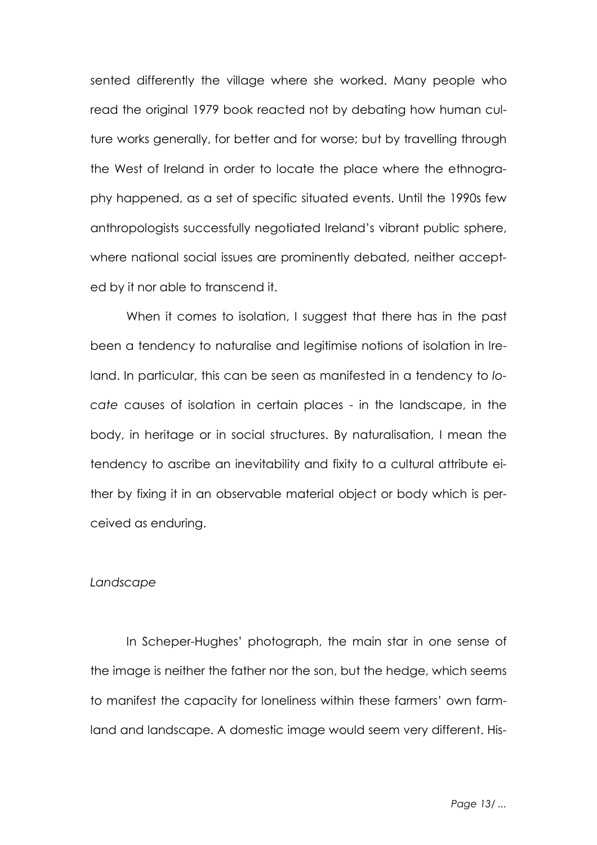sented differently the village where she worked. Many people who read the original 1979 book reacted not by debating how human culture works generally, for better and for worse; but by travelling through the West of Ireland in order to locate the place where the ethnography happened, as a set of specific situated events. Until the 1990s few anthropologists successfully negotiated Ireland's vibrant public sphere, where national social issues are prominently debated, neither accepted by it nor able to transcend it.

When it comes to isolation, I suggest that there has in the past been a tendency to naturalise and legitimise notions of isolation in Ireland. In particular, this can be seen as manifested in a tendency to *locate* causes of isolation in certain places - in the landscape, in the body, in heritage or in social structures. By naturalisation, I mean the tendency to ascribe an inevitability and fixity to a cultural attribute either by fixing it in an observable material object or body which is perceived as enduring.

#### *Landscape*

In Scheper-Hughes' photograph, the main star in one sense of the image is neither the father nor the son, but the hedge, which seems to manifest the capacity for loneliness within these farmers' own farmland and landscape. A domestic image would seem very different. His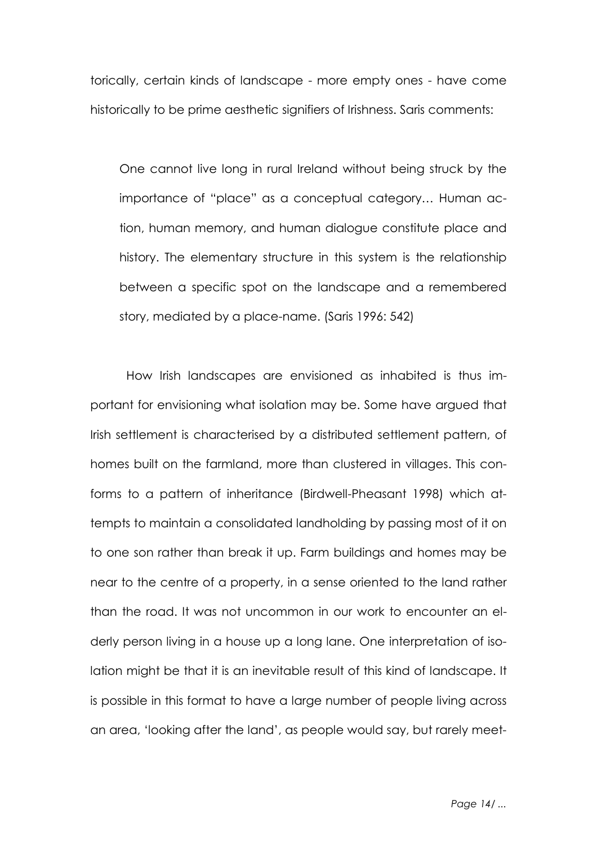torically, certain kinds of landscape - more empty ones - have come historically to be prime aesthetic signifiers of Irishness. Saris comments:

One cannot live long in rural Ireland without being struck by the importance of "place" as a conceptual category… Human action, human memory, and human dialogue constitute place and history. The elementary structure in this system is the relationship between a specific spot on the landscape and a remembered story, mediated by a place-name. (Saris 1996: 542)

How Irish landscapes are envisioned as inhabited is thus important for envisioning what isolation may be. Some have argued that Irish settlement is characterised by a distributed settlement pattern, of homes built on the farmland, more than clustered in villages. This conforms to a pattern of inheritance (Birdwell-Pheasant 1998) which attempts to maintain a consolidated landholding by passing most of it on to one son rather than break it up. Farm buildings and homes may be near to the centre of a property, in a sense oriented to the land rather than the road. It was not uncommon in our work to encounter an elderly person living in a house up a long lane. One interpretation of isolation might be that it is an inevitable result of this kind of landscape. It is possible in this format to have a large number of people living across an area, 'looking after the land', as people would say, but rarely meet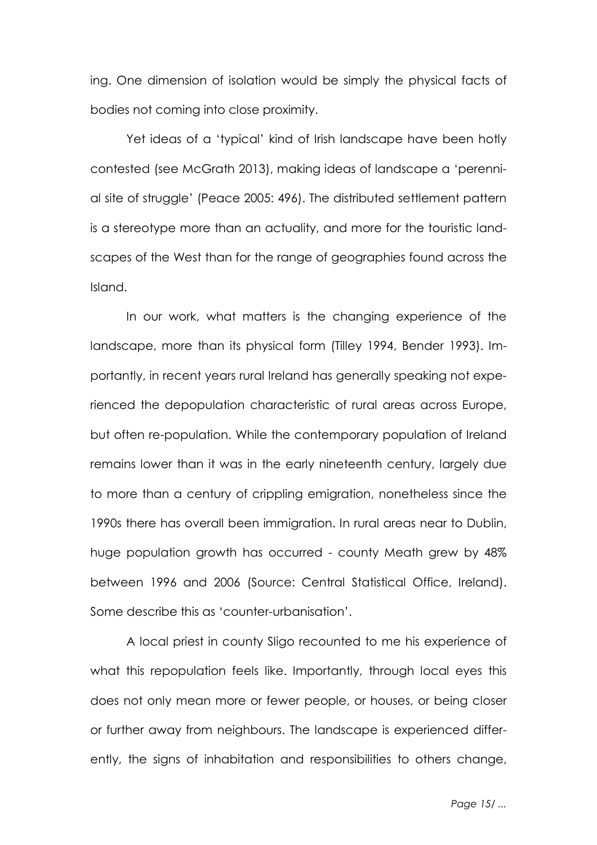ing. One dimension of isolation would be simply the physical facts of bodies not coming into close proximity.

Yet ideas of a 'typical' kind of Irish landscape have been hotly contested (see McGrath 2013), making ideas of landscape a 'perennial site of struggle' (Peace 2005: 496). The distributed settlement pattern is a stereotype more than an actuality, and more for the touristic landscapes of the West than for the range of geographies found across the Island.

In our work, what matters is the changing experience of the landscape, more than its physical form (Tilley 1994, Bender 1993). Importantly, in recent years rural Ireland has generally speaking not experienced the depopulation characteristic of rural areas across Europe, but often re-population. While the contemporary population of Ireland remains lower than it was in the early nineteenth century, largely due to more than a century of crippling emigration, nonetheless since the 1990s there has overall been immigration. In rural areas near to Dublin, huge population growth has occurred - county Meath grew by 48% between 1996 and 2006 (Source: Central Statistical Office, Ireland). Some describe this as 'counter-urbanisation'.

A local priest in county Sligo recounted to me his experience of what this repopulation feels like. Importantly, through local eyes this does not only mean more or fewer people, or houses, or being closer or further away from neighbours. The landscape is experienced differently, the signs of inhabitation and responsibilities to others change,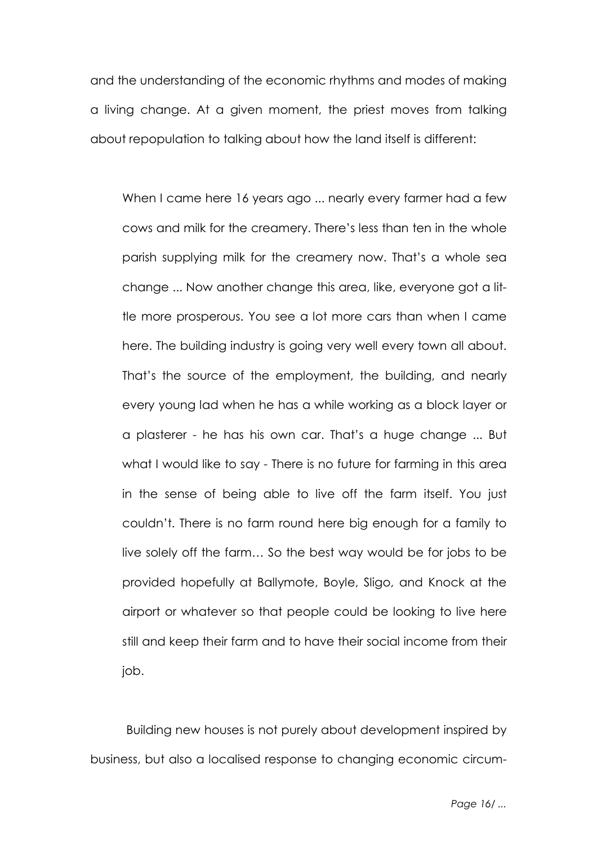and the understanding of the economic rhythms and modes of making a living change. At a given moment, the priest moves from talking about repopulation to talking about how the land itself is different:

When I came here 16 years ago ... nearly every farmer had a few cows and milk for the creamery. There's less than ten in the whole parish supplying milk for the creamery now. That's a whole sea change ... Now another change this area, like, everyone got a little more prosperous. You see a lot more cars than when I came here. The building industry is going very well every town all about. That's the source of the employment, the building, and nearly every young lad when he has a while working as a block layer or a plasterer - he has his own car. That's a huge change ... But what I would like to say - There is no future for farming in this area in the sense of being able to live off the farm itself. You just couldn't. There is no farm round here big enough for a family to live solely off the farm… So the best way would be for jobs to be provided hopefully at Ballymote, Boyle, Sligo, and Knock at the airport or whatever so that people could be looking to live here still and keep their farm and to have their social income from their job.

Building new houses is not purely about development inspired by business, but also a localised response to changing economic circum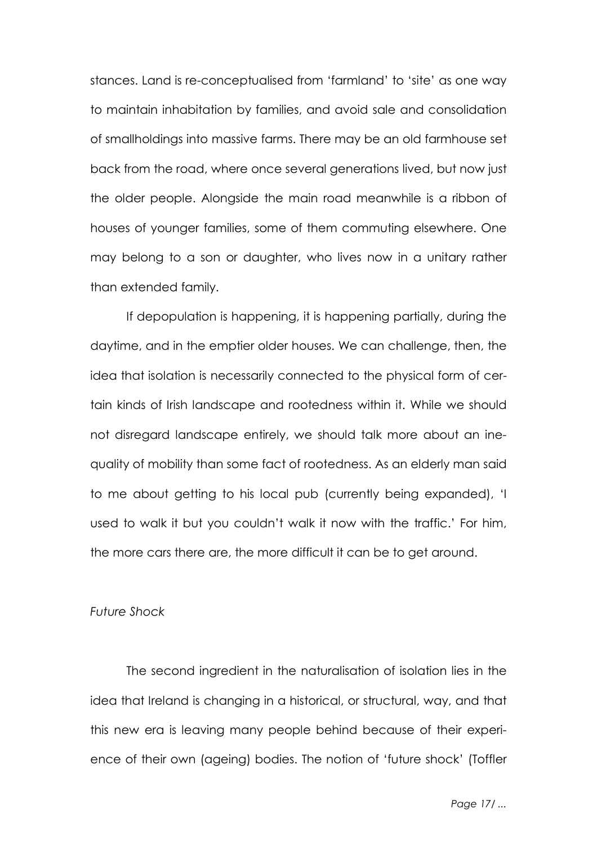stances. Land is re-conceptualised from 'farmland' to 'site' as one way to maintain inhabitation by families, and avoid sale and consolidation of smallholdings into massive farms. There may be an old farmhouse set back from the road, where once several generations lived, but now just the older people. Alongside the main road meanwhile is a ribbon of houses of younger families, some of them commuting elsewhere. One may belong to a son or daughter, who lives now in a unitary rather than extended family.

If depopulation is happening, it is happening partially, during the daytime, and in the emptier older houses. We can challenge, then, the idea that isolation is necessarily connected to the physical form of certain kinds of Irish landscape and rootedness within it. While we should not disregard landscape entirely, we should talk more about an inequality of mobility than some fact of rootedness. As an elderly man said to me about getting to his local pub (currently being expanded), 'I used to walk it but you couldn't walk it now with the traffic.' For him, the more cars there are, the more difficult it can be to get around.

## *Future Shock*

The second ingredient in the naturalisation of isolation lies in the idea that Ireland is changing in a historical, or structural, way, and that this new era is leaving many people behind because of their experience of their own (ageing) bodies. The notion of 'future shock' (Toffler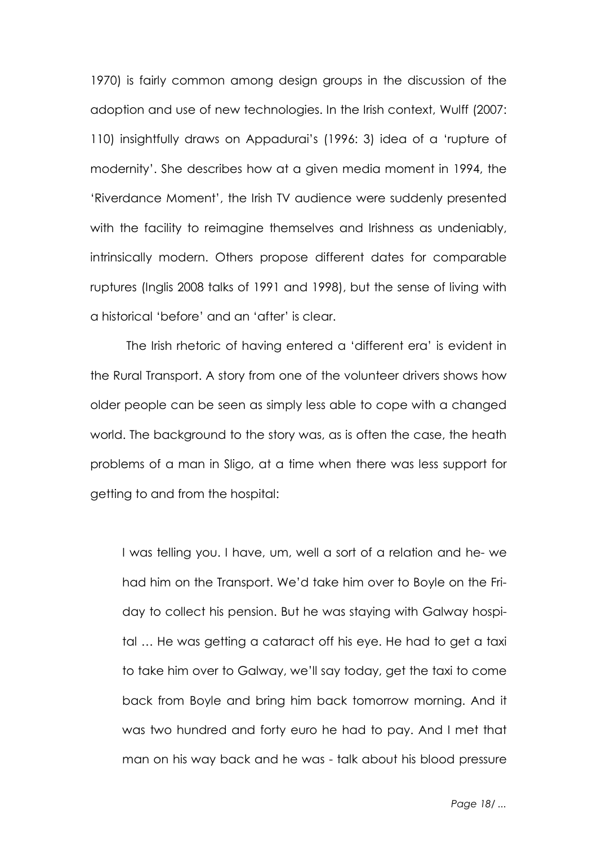1970) is fairly common among design groups in the discussion of the adoption and use of new technologies. In the Irish context, Wulff (2007: 110) insightfully draws on Appadurai's (1996: 3) idea of a 'rupture of modernity'. She describes how at a given media moment in 1994, the 'Riverdance Moment', the Irish TV audience were suddenly presented with the facility to reimagine themselves and Irishness as undeniably, intrinsically modern. Others propose different dates for comparable ruptures (Inglis 2008 talks of 1991 and 1998), but the sense of living with a historical 'before' and an 'after' is clear.

The Irish rhetoric of having entered a 'different era' is evident in the Rural Transport. A story from one of the volunteer drivers shows how older people can be seen as simply less able to cope with a changed world. The background to the story was, as is often the case, the heath problems of a man in Sligo, at a time when there was less support for getting to and from the hospital:

I was telling you. I have, um, well a sort of a relation and he- we had him on the Transport. We'd take him over to Boyle on the Friday to collect his pension. But he was staying with Galway hospital … He was getting a cataract off his eye. He had to get a taxi to take him over to Galway, we'll say today, get the taxi to come back from Boyle and bring him back tomorrow morning. And it was two hundred and forty euro he had to pay. And I met that man on his way back and he was - talk about his blood pressure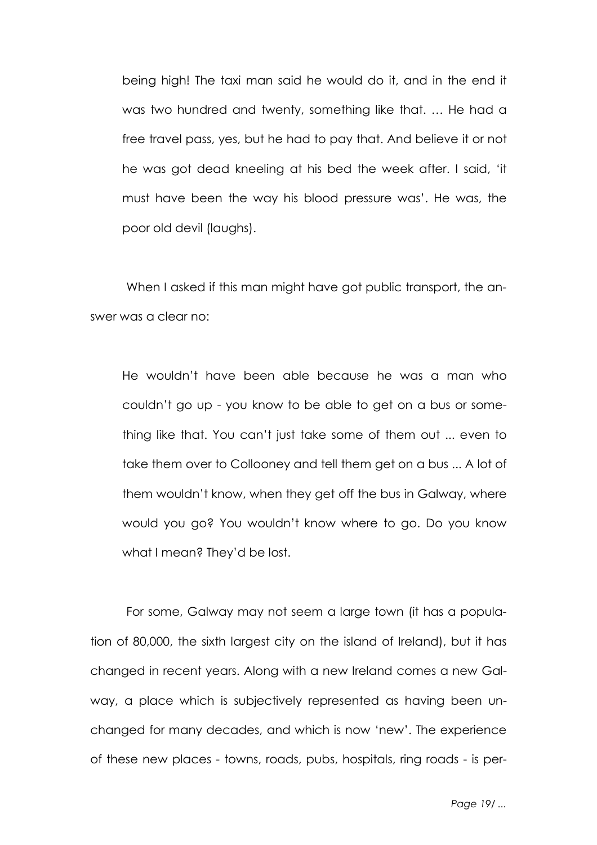being high! The taxi man said he would do it, and in the end it was two hundred and twenty, something like that. … He had a free travel pass, yes, but he had to pay that. And believe it or not he was got dead kneeling at his bed the week after. I said, 'it must have been the way his blood pressure was'. He was, the poor old devil (laughs).

When I asked if this man might have got public transport, the answer was a clear no:

He wouldn't have been able because he was a man who couldn't go up - you know to be able to get on a bus or something like that. You can't just take some of them out ... even to take them over to Collooney and tell them get on a bus ... A lot of them wouldn't know, when they get off the bus in Galway, where would you go? You wouldn't know where to go. Do you know what I mean? They'd be lost.

For some, Galway may not seem a large town (it has a population of 80,000, the sixth largest city on the island of Ireland), but it has changed in recent years. Along with a new Ireland comes a new Galway, a place which is subjectively represented as having been unchanged for many decades, and which is now 'new'. The experience of these new places - towns, roads, pubs, hospitals, ring roads - is per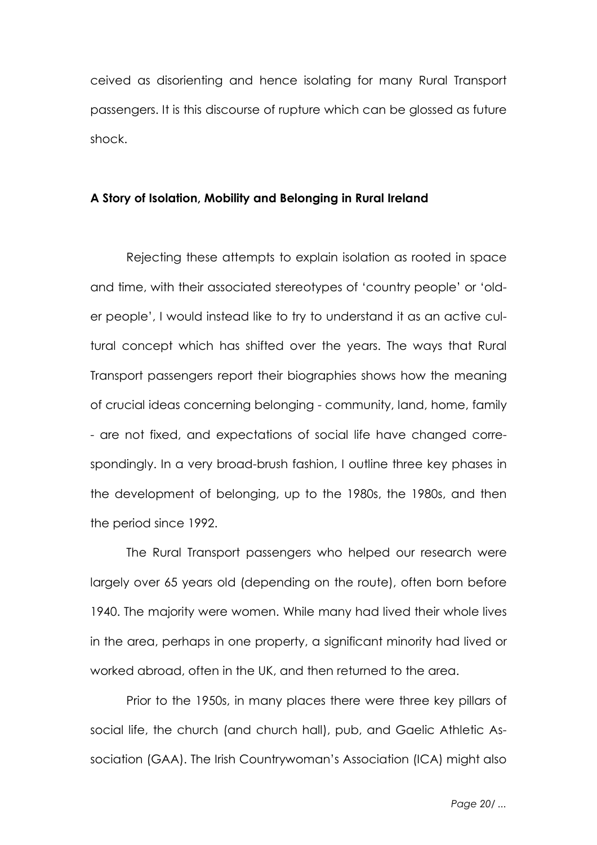ceived as disorienting and hence isolating for many Rural Transport passengers. It is this discourse of rupture which can be glossed as future shock.

# **A Story of Isolation, Mobility and Belonging in Rural Ireland**

Rejecting these attempts to explain isolation as rooted in space and time, with their associated stereotypes of 'country people' or 'older people', I would instead like to try to understand it as an active cultural concept which has shifted over the years. The ways that Rural Transport passengers report their biographies shows how the meaning of crucial ideas concerning belonging - community, land, home, family - are not fixed, and expectations of social life have changed correspondingly. In a very broad-brush fashion, I outline three key phases in the development of belonging, up to the 1980s, the 1980s, and then the period since 1992.

The Rural Transport passengers who helped our research were largely over 65 years old (depending on the route), often born before 1940. The majority were women. While many had lived their whole lives in the area, perhaps in one property, a significant minority had lived or worked abroad, often in the UK, and then returned to the area.

Prior to the 1950s, in many places there were three key pillars of social life, the church (and church hall), pub, and Gaelic Athletic Association (GAA). The Irish Countrywoman's Association (ICA) might also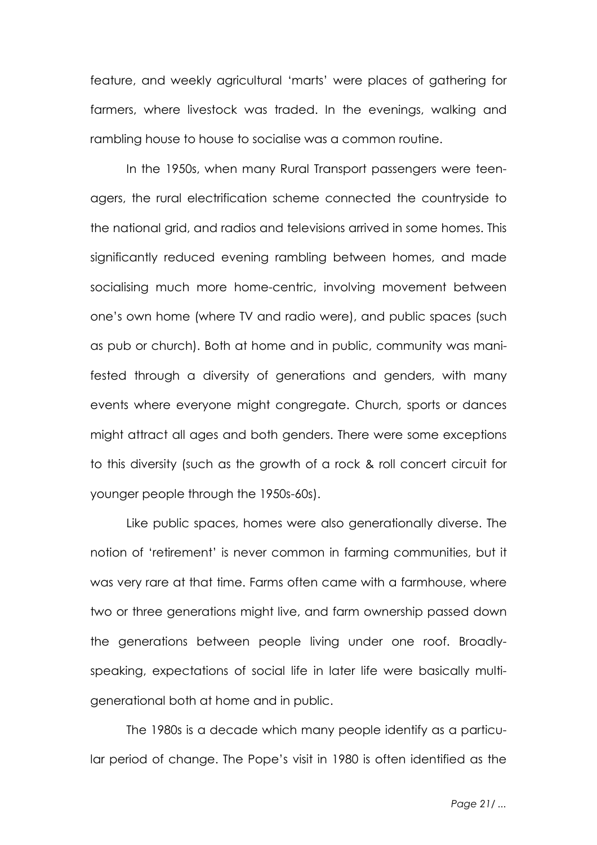feature, and weekly agricultural 'marts' were places of gathering for farmers, where livestock was traded. In the evenings, walking and rambling house to house to socialise was a common routine.

In the 1950s, when many Rural Transport passengers were teenagers, the rural electrification scheme connected the countryside to the national grid, and radios and televisions arrived in some homes. This significantly reduced evening rambling between homes, and made socialising much more home-centric, involving movement between one's own home (where TV and radio were), and public spaces (such as pub or church). Both at home and in public, community was manifested through a diversity of generations and genders, with many events where everyone might congregate. Church, sports or dances might attract all ages and both genders. There were some exceptions to this diversity (such as the growth of a rock & roll concert circuit for younger people through the 1950s-60s).

Like public spaces, homes were also generationally diverse. The notion of 'retirement' is never common in farming communities, but it was very rare at that time. Farms often came with a farmhouse, where two or three generations might live, and farm ownership passed down the generations between people living under one roof. Broadlyspeaking, expectations of social life in later life were basically multigenerational both at home and in public.

The 1980s is a decade which many people identify as a particular period of change. The Pope's visit in 1980 is often identified as the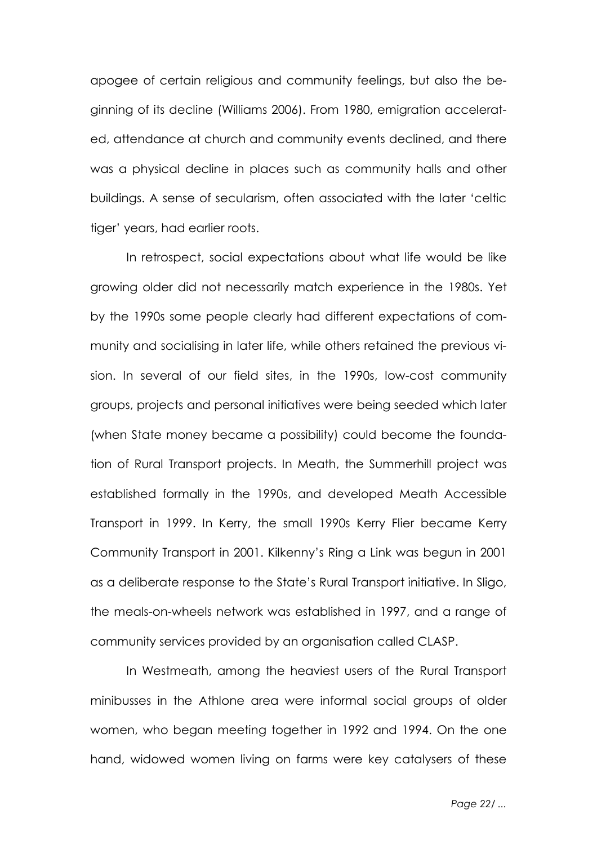apogee of certain religious and community feelings, but also the beginning of its decline (Williams 2006). From 1980, emigration accelerated, attendance at church and community events declined, and there was a physical decline in places such as community halls and other buildings. A sense of secularism, often associated with the later 'celtic tiger' years, had earlier roots.

In retrospect, social expectations about what life would be like growing older did not necessarily match experience in the 1980s. Yet by the 1990s some people clearly had different expectations of community and socialising in later life, while others retained the previous vision. In several of our field sites, in the 1990s, low-cost community groups, projects and personal initiatives were being seeded which later (when State money became a possibility) could become the foundation of Rural Transport projects. In Meath, the Summerhill project was established formally in the 1990s, and developed Meath Accessible Transport in 1999. In Kerry, the small 1990s Kerry Flier became Kerry Community Transport in 2001. Kilkenny's Ring a Link was begun in 2001 as a deliberate response to the State's Rural Transport initiative. In Sligo, the meals-on-wheels network was established in 1997, and a range of community services provided by an organisation called CLASP.

In Westmeath, among the heaviest users of the Rural Transport minibusses in the Athlone area were informal social groups of older women, who began meeting together in 1992 and 1994. On the one hand, widowed women living on farms were key catalysers of these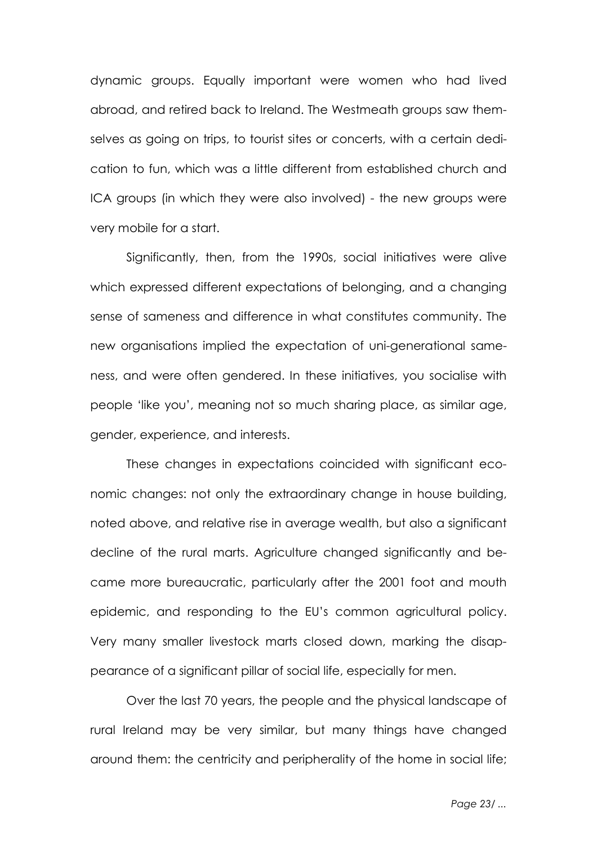dynamic groups. Equally important were women who had lived abroad, and retired back to Ireland. The Westmeath groups saw themselves as going on trips, to tourist sites or concerts, with a certain dedication to fun, which was a little different from established church and ICA groups (in which they were also involved) - the new groups were very mobile for a start.

Significantly, then, from the 1990s, social initiatives were alive which expressed different expectations of belonging, and a changing sense of sameness and difference in what constitutes community. The new organisations implied the expectation of uni-generational sameness, and were often gendered. In these initiatives, you socialise with people 'like you', meaning not so much sharing place, as similar age, gender, experience, and interests.

These changes in expectations coincided with significant economic changes: not only the extraordinary change in house building, noted above, and relative rise in average wealth, but also a significant decline of the rural marts. Agriculture changed significantly and became more bureaucratic, particularly after the 2001 foot and mouth epidemic, and responding to the EU's common agricultural policy. Very many smaller livestock marts closed down, marking the disappearance of a significant pillar of social life, especially for men.

Over the last 70 years, the people and the physical landscape of rural Ireland may be very similar, but many things have changed around them: the centricity and peripherality of the home in social life;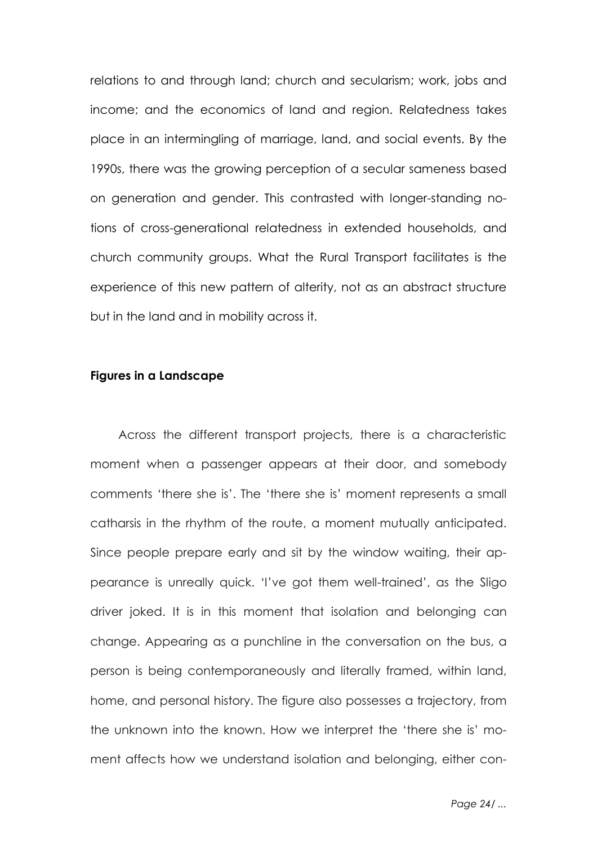relations to and through land; church and secularism; work, jobs and income; and the economics of land and region. Relatedness takes place in an intermingling of marriage, land, and social events. By the 1990s, there was the growing perception of a secular sameness based on generation and gender. This contrasted with longer-standing notions of cross-generational relatedness in extended households, and church community groups. What the Rural Transport facilitates is the experience of this new pattern of alterity, not as an abstract structure but in the land and in mobility across it.

### **Figures in a Landscape**

Across the different transport projects, there is a characteristic moment when a passenger appears at their door, and somebody comments 'there she is'. The 'there she is' moment represents a small catharsis in the rhythm of the route, a moment mutually anticipated. Since people prepare early and sit by the window waiting, their appearance is unreally quick. 'I've got them well-trained', as the Sligo driver joked. It is in this moment that isolation and belonging can change. Appearing as a punchline in the conversation on the bus, a person is being contemporaneously and literally framed, within land, home, and personal history. The figure also possesses a trajectory, from the unknown into the known. How we interpret the 'there she is' moment affects how we understand isolation and belonging, either con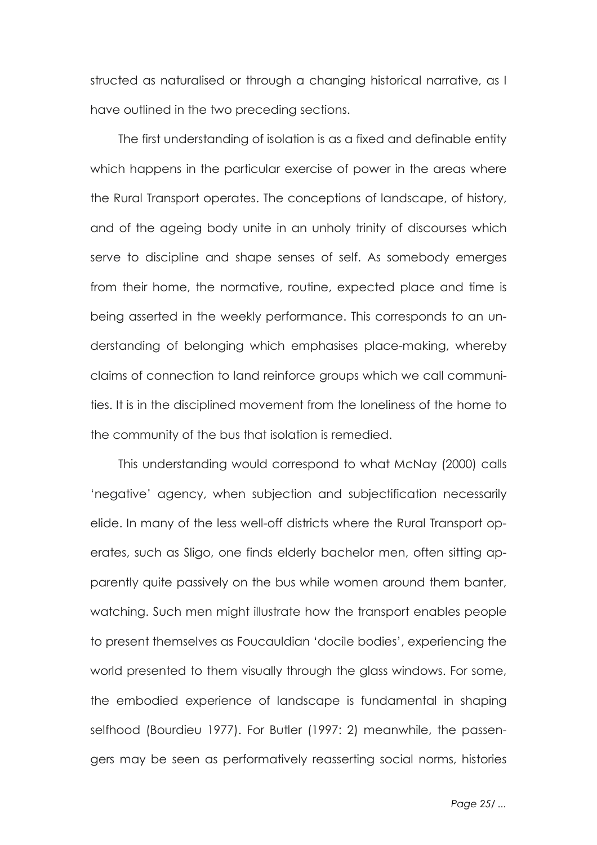structed as naturalised or through a changing historical narrative, as I have outlined in the two preceding sections.

The first understanding of isolation is as a fixed and definable entity which happens in the particular exercise of power in the areas where the Rural Transport operates. The conceptions of landscape, of history, and of the ageing body unite in an unholy trinity of discourses which serve to discipline and shape senses of self. As somebody emerges from their home, the normative, routine, expected place and time is being asserted in the weekly performance. This corresponds to an understanding of belonging which emphasises place-making, whereby claims of connection to land reinforce groups which we call communities. It is in the disciplined movement from the loneliness of the home to the community of the bus that isolation is remedied.

This understanding would correspond to what McNay (2000) calls 'negative' agency, when subjection and subjectification necessarily elide. In many of the less well-off districts where the Rural Transport operates, such as Sligo, one finds elderly bachelor men, often sitting apparently quite passively on the bus while women around them banter, watching. Such men might illustrate how the transport enables people to present themselves as Foucauldian 'docile bodies', experiencing the world presented to them visually through the glass windows. For some, the embodied experience of landscape is fundamental in shaping selfhood (Bourdieu 1977). For Butler (1997: 2) meanwhile, the passengers may be seen as performatively reasserting social norms, histories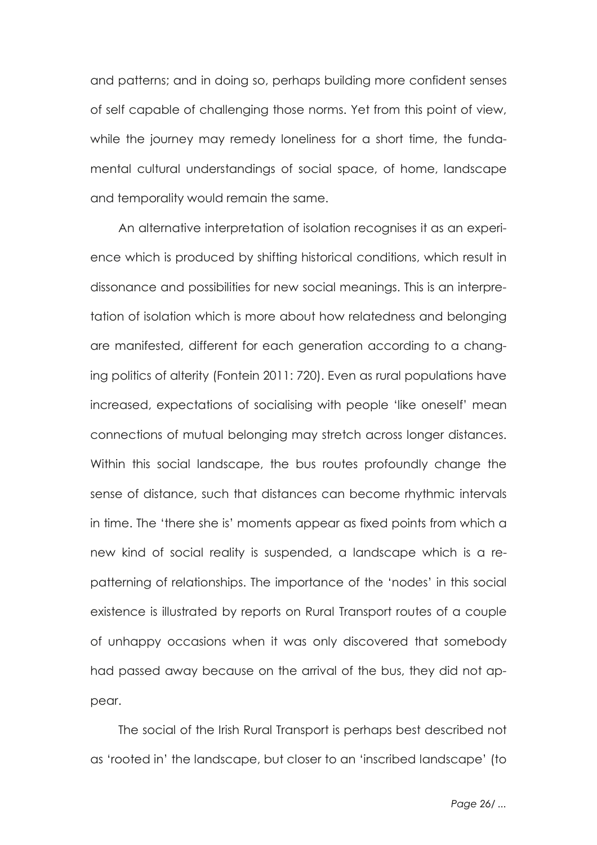and patterns; and in doing so, perhaps building more confident senses of self capable of challenging those norms. Yet from this point of view, while the journey may remedy loneliness for a short time, the fundamental cultural understandings of social space, of home, landscape and temporality would remain the same.

An alternative interpretation of isolation recognises it as an experience which is produced by shifting historical conditions, which result in dissonance and possibilities for new social meanings. This is an interpretation of isolation which is more about how relatedness and belonging are manifested, different for each generation according to a changing politics of alterity (Fontein 2011: 720). Even as rural populations have increased, expectations of socialising with people 'like oneself' mean connections of mutual belonging may stretch across longer distances. Within this social landscape, the bus routes profoundly change the sense of distance, such that distances can become rhythmic intervals in time. The 'there she is' moments appear as fixed points from which a new kind of social reality is suspended, a landscape which is a repatterning of relationships. The importance of the 'nodes' in this social existence is illustrated by reports on Rural Transport routes of a couple of unhappy occasions when it was only discovered that somebody had passed away because on the arrival of the bus, they did not appear.

The social of the Irish Rural Transport is perhaps best described not as 'rooted in' the landscape, but closer to an 'inscribed landscape' (to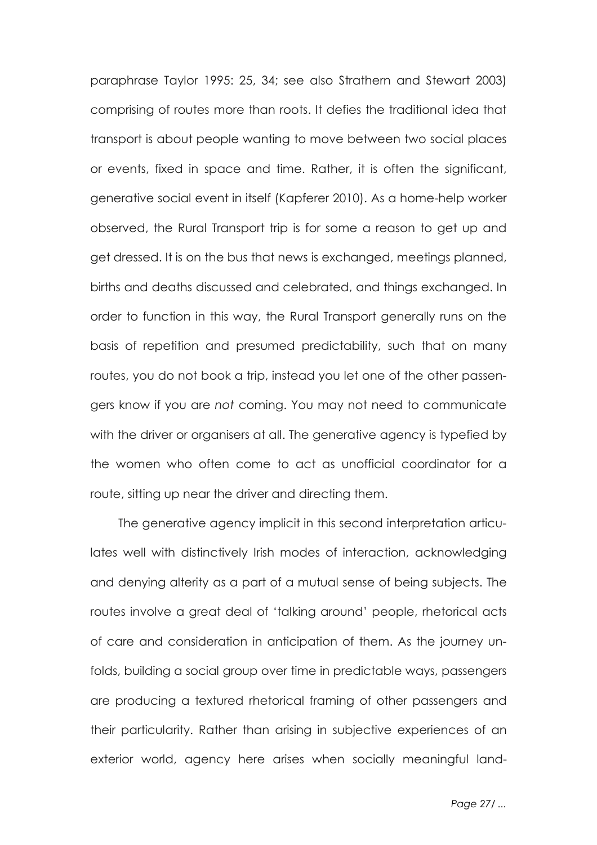paraphrase Taylor 1995: 25, 34; see also Strathern and Stewart 2003) comprising of routes more than roots. It defies the traditional idea that transport is about people wanting to move between two social places or events, fixed in space and time. Rather, it is often the significant, generative social event in itself (Kapferer 2010). As a home-help worker observed, the Rural Transport trip is for some a reason to get up and get dressed. It is on the bus that news is exchanged, meetings planned, births and deaths discussed and celebrated, and things exchanged. In order to function in this way, the Rural Transport generally runs on the basis of repetition and presumed predictability, such that on many routes, you do not book a trip, instead you let one of the other passengers know if you are *not* coming. You may not need to communicate with the driver or organisers at all. The generative agency is typefied by the women who often come to act as unofficial coordinator for a route, sitting up near the driver and directing them.

The generative agency implicit in this second interpretation articulates well with distinctively Irish modes of interaction, acknowledging and denying alterity as a part of a mutual sense of being subjects. The routes involve a great deal of 'talking around' people, rhetorical acts of care and consideration in anticipation of them. As the journey unfolds, building a social group over time in predictable ways, passengers are producing a textured rhetorical framing of other passengers and their particularity. Rather than arising in subjective experiences of an exterior world, agency here arises when socially meaningful land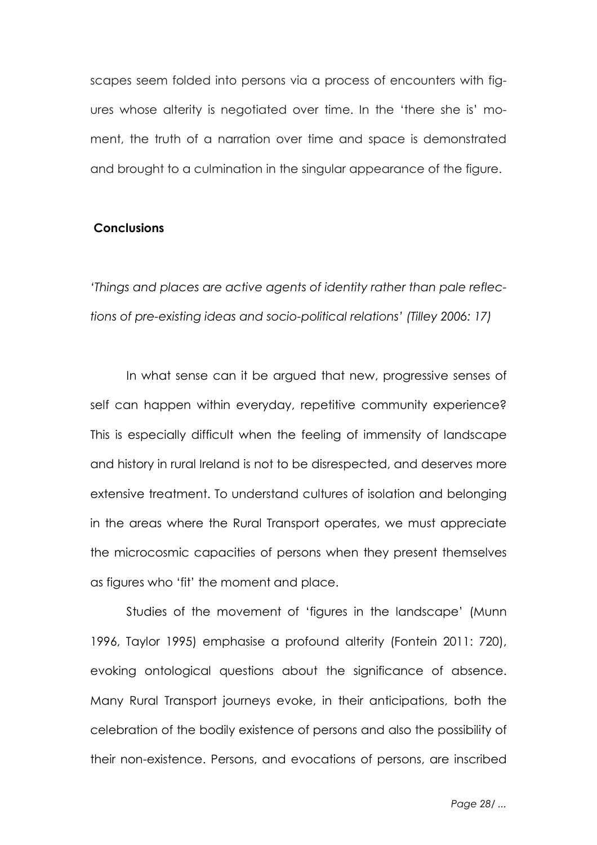scapes seem folded into persons via a process of encounters with figures whose alterity is negotiated over time. In the 'there she is' moment, the truth of a narration over time and space is demonstrated and brought to a culmination in the singular appearance of the figure.

# **Conclusions**

*'Things and places are active agents of identity rather than pale reflections of pre-existing ideas and socio-political relations' (Tilley 2006: 17)*

In what sense can it be argued that new, progressive senses of self can happen within everyday, repetitive community experience? This is especially difficult when the feeling of immensity of landscape and history in rural Ireland is not to be disrespected, and deserves more extensive treatment. To understand cultures of isolation and belonging in the areas where the Rural Transport operates, we must appreciate the microcosmic capacities of persons when they present themselves as figures who 'fit' the moment and place.

Studies of the movement of 'figures in the landscape' (Munn 1996, Taylor 1995) emphasise a profound alterity (Fontein 2011: 720), evoking ontological questions about the significance of absence. Many Rural Transport journeys evoke, in their anticipations, both the celebration of the bodily existence of persons and also the possibility of their non-existence. Persons, and evocations of persons, are inscribed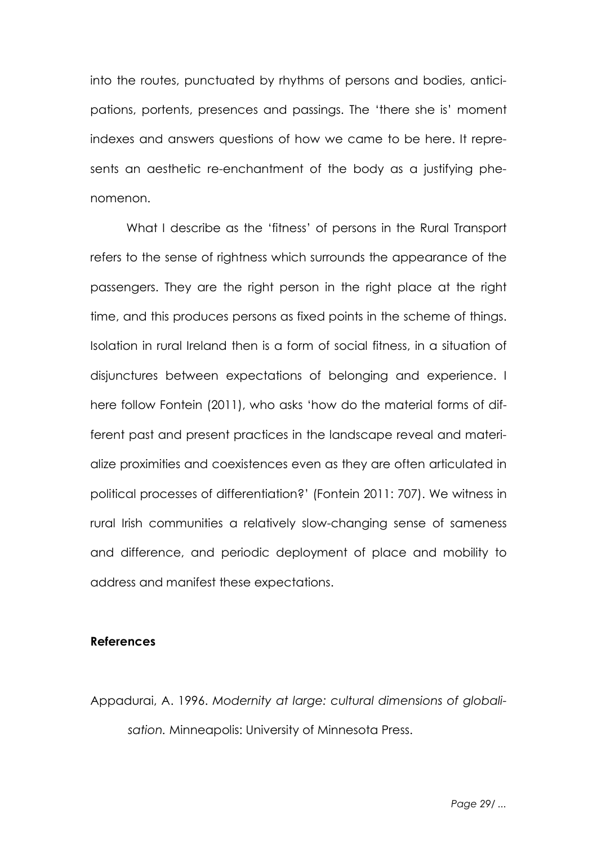into the routes, punctuated by rhythms of persons and bodies, anticipations, portents, presences and passings. The 'there she is' moment indexes and answers questions of how we came to be here. It represents an aesthetic re-enchantment of the body as a justifying phenomenon.

What I describe as the 'fitness' of persons in the Rural Transport refers to the sense of rightness which surrounds the appearance of the passengers. They are the right person in the right place at the right time, and this produces persons as fixed points in the scheme of things. Isolation in rural Ireland then is a form of social fitness, in a situation of disjunctures between expectations of belonging and experience. I here follow Fontein (2011), who asks 'how do the material forms of different past and present practices in the landscape reveal and materialize proximities and coexistences even as they are often articulated in political processes of differentiation?' (Fontein 2011: 707). We witness in rural Irish communities a relatively slow-changing sense of sameness and difference, and periodic deployment of place and mobility to address and manifest these expectations.

## **References**

Appadurai, A. 1996. *Modernity at large: cultural dimensions of globalisation.* Minneapolis: University of Minnesota Press.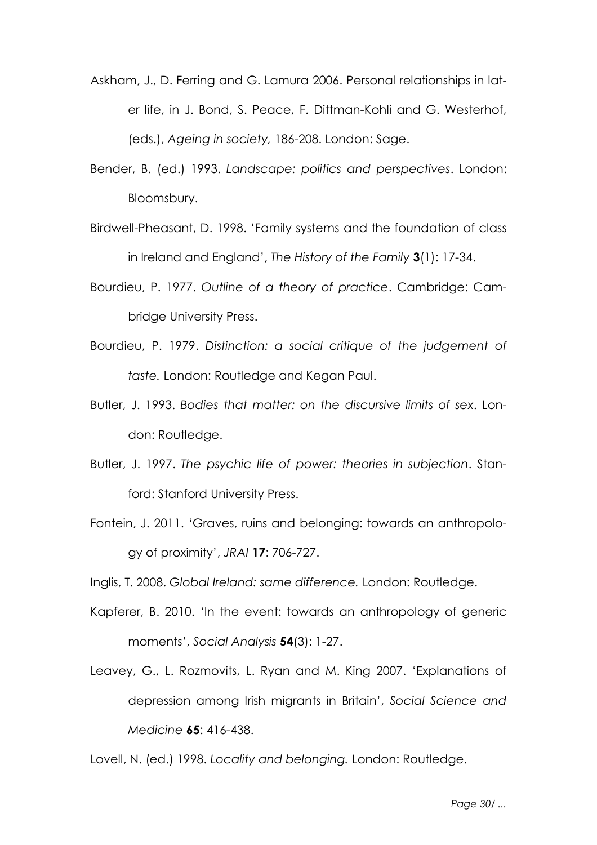- Askham, J., D. Ferring and G. Lamura 2006. Personal relationships in later life, in J. Bond, S. Peace, F. Dittman-Kohli and G. Westerhof, (eds.), *Ageing in society,* 186-208. London: Sage.
- Bender, B. (ed.) 1993. *Landscape: politics and perspectives*. London: Bloomsbury.
- Birdwell-Pheasant, D. 1998. 'Family systems and the foundation of class in Ireland and England', *The History of the Family* **3**(1): 17-34.
- Bourdieu, P. 1977. *Outline of a theory of practice*. Cambridge: Cambridge University Press.
- Bourdieu, P. 1979. *Distinction: a social critique of the judgement of taste.* London: Routledge and Kegan Paul.
- Butler, J. 1993. *Bodies that matter: on the discursive limits of sex*. London: Routledge.
- Butler, J. 1997. *The psychic life of power: theories in subjection*. Stanford: Stanford University Press.
- Fontein, J. 2011. 'Graves, ruins and belonging: towards an anthropology of proximity', *JRAI* **17**: 706-727.
- Inglis, T. 2008. *Global Ireland: same difference.* London: Routledge.
- Kapferer, B. 2010. 'In the event: towards an anthropology of generic moments', *Social Analysis* **54**(3): 1-27.
- Leavey, G., L. Rozmovits, L. Ryan and M. King 2007. 'Explanations of depression among Irish migrants in Britain', *Social Science and Medicine* **65**: 416-438.

Lovell, N. (ed.) 1998. *Locality and belonging.* London: Routledge.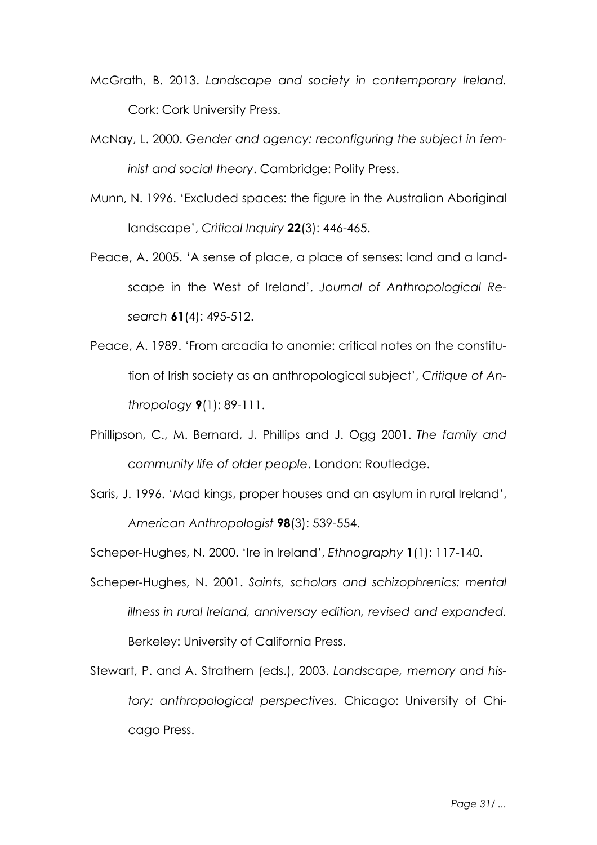- McGrath, B. 2013. *Landscape and society in contemporary Ireland.* Cork: Cork University Press.
- McNay, L. 2000. *Gender and agency: reconfiguring the subject in feminist and social theory*. Cambridge: Polity Press.
- Munn, N. 1996. 'Excluded spaces: the figure in the Australian Aboriginal landscape', *Critical Inquiry* **22**(3): 446-465.
- Peace, A. 2005. 'A sense of place, a place of senses: land and a landscape in the West of Ireland', *Journal of Anthropological Research* **61**(4): 495-512.
- Peace, A. 1989. 'From arcadia to anomie: critical notes on the constitution of Irish society as an anthropological subject', *Critique of Anthropology* **9**(1): 89-111.
- Phillipson, C., M. Bernard, J. Phillips and J. Ogg 2001. *The family and community life of older people*. London: Routledge.
- Saris, J. 1996. 'Mad kings, proper houses and an asylum in rural Ireland', *American Anthropologist* **98**(3): 539-554.

Scheper-Hughes, N. 2000. 'Ire in Ireland', *Ethnography* **1**(1): 117-140.

- Scheper-Hughes, N. 2001. *Saints, scholars and schizophrenics: mental illness in rural Ireland, anniversay edition, revised and expanded.* Berkeley: University of California Press.
- Stewart, P. and A. Strathern (eds.), 2003. *Landscape, memory and history: anthropological perspectives.* Chicago: University of Chicago Press.